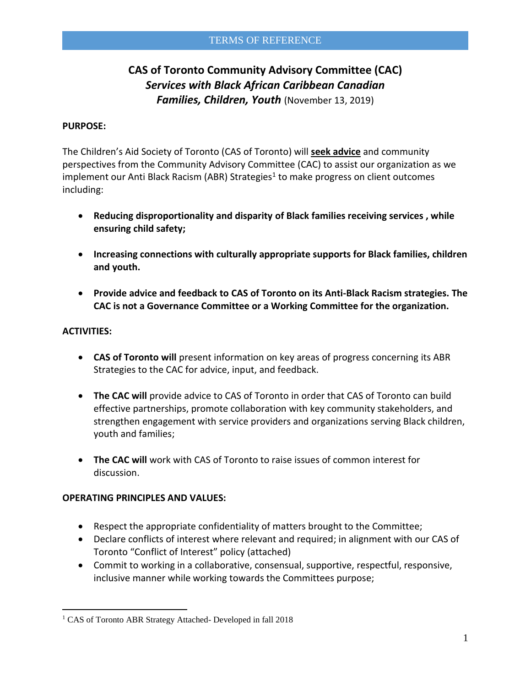# **CAS of Toronto Community Advisory Committee (CAC)** *Services with Black African Caribbean Canadian Families, Children, Youth* (November 13, 2019)

#### **PURPOSE:**

The Children's Aid Society of Toronto (CAS of Toronto) will **seek advice** and community perspectives from the Community Advisory Committee (CAC) to assist our organization as we implement our Anti Black Racism (ABR) Strategies<sup>1</sup> to make progress on client outcomes including:

- **Reducing disproportionality and disparity of Black families receiving services , while ensuring child safety;**
- **Increasing connections with culturally appropriate supports for Black families, children and youth.**
- **Provide advice and feedback to CAS of Toronto on its Anti-Black Racism strategies. The CAC is not a Governance Committee or a Working Committee for the organization.**

### **ACTIVITIES:**

 $\overline{a}$ 

- **CAS of Toronto will** present information on key areas of progress concerning its ABR Strategies to the CAC for advice, input, and feedback.
- **The CAC will** provide advice to CAS of Toronto in order that CAS of Toronto can build effective partnerships, promote collaboration with key community stakeholders, and strengthen engagement with service providers and organizations serving Black children, youth and families;
- **The CAC will** work with CAS of Toronto to raise issues of common interest for discussion.

### **OPERATING PRINCIPLES AND VALUES:**

- Respect the appropriate confidentiality of matters brought to the Committee;
- Declare conflicts of interest where relevant and required; in alignment with our CAS of Toronto "Conflict of Interest" policy (attached)
- Commit to working in a collaborative, consensual, supportive, respectful, responsive, inclusive manner while working towards the Committees purpose;

<sup>&</sup>lt;sup>1</sup> CAS of Toronto ABR Strategy Attached- Developed in fall 2018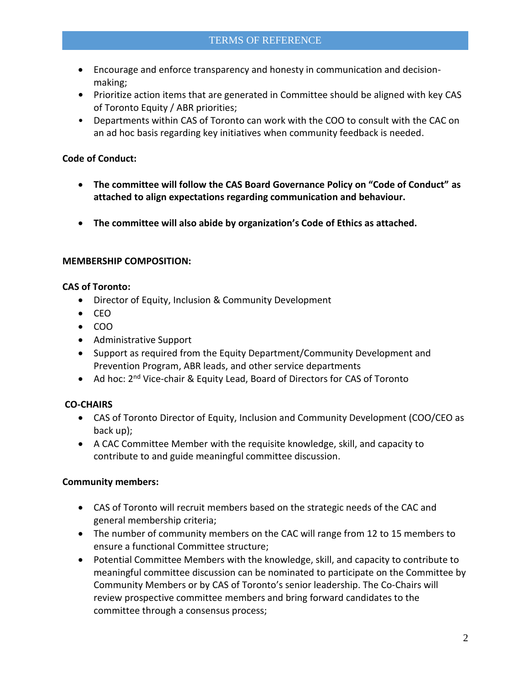- Encourage and enforce transparency and honesty in communication and decisionmaking;
- **•** Prioritize action items that are generated in Committee should be aligned with key CAS of Toronto Equity / ABR priorities;
- Departments within CAS of Toronto can work with the COO to consult with the CAC on an ad hoc basis regarding key initiatives when community feedback is needed.

## **Code of Conduct:**

- **The committee will follow the CAS Board Governance Policy on "Code of Conduct" as attached to align expectations regarding communication and behaviour.**
- **The committee will also abide by organization's Code of Ethics as attached.**

## **MEMBERSHIP COMPOSITION:**

### **CAS of Toronto:**

- Director of Equity, Inclusion & Community Development
- $\bullet$  CEO
- $\bullet$  COO
- Administrative Support
- Support as required from the Equity Department/Community Development and Prevention Program, ABR leads, and other service departments
- Ad hoc: 2<sup>nd</sup> Vice-chair & Equity Lead, Board of Directors for CAS of Toronto

# **CO-CHAIRS**

- CAS of Toronto Director of Equity, Inclusion and Community Development (COO/CEO as back up);
- A CAC Committee Member with the requisite knowledge, skill, and capacity to contribute to and guide meaningful committee discussion.

# **Community members:**

- CAS of Toronto will recruit members based on the strategic needs of the CAC and general membership criteria;
- The number of community members on the CAC will range from 12 to 15 members to ensure a functional Committee structure;
- Potential Committee Members with the knowledge, skill, and capacity to contribute to meaningful committee discussion can be nominated to participate on the Committee by Community Members or by CAS of Toronto's senior leadership. The Co-Chairs will review prospective committee members and bring forward candidates to the committee through a consensus process;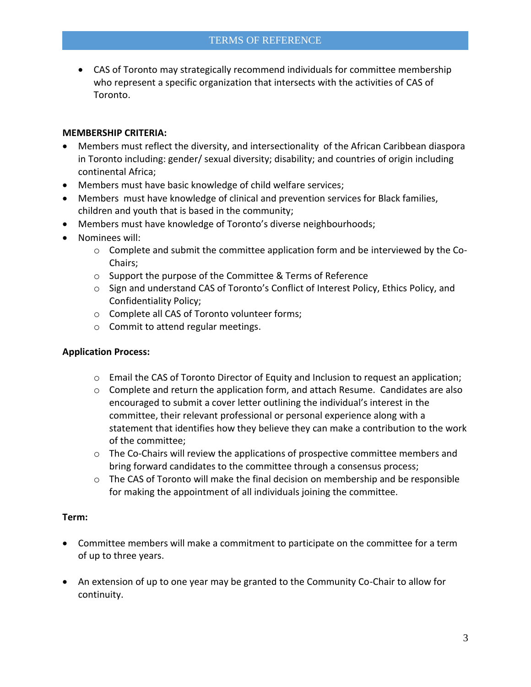CAS of Toronto may strategically recommend individuals for committee membership who represent a specific organization that intersects with the activities of CAS of Toronto.

## **MEMBERSHIP CRITERIA:**

- Members must reflect the diversity, and intersectionality of the African Caribbean diaspora in Toronto including: gender/ sexual diversity; disability; and countries of origin including continental Africa;
- Members must have basic knowledge of child welfare services;
- Members must have knowledge of clinical and prevention services for Black families, children and youth that is based in the community;
- Members must have knowledge of Toronto's diverse neighbourhoods;
- Nominees will:
	- o Complete and submit the committee application form and be interviewed by the Co-Chairs;
	- o Support the purpose of the Committee & Terms of Reference
	- o Sign and understand CAS of Toronto's Conflict of Interest Policy, Ethics Policy, and Confidentiality Policy;
	- o Complete all CAS of Toronto volunteer forms;
	- o Commit to attend regular meetings.

### **Application Process:**

- $\circ$  Email the CAS of Toronto Director of Equity and Inclusion to request an application;
- $\circ$  Complete and return the application form, and attach Resume. Candidates are also encouraged to submit a cover letter outlining the individual's interest in the committee, their relevant professional or personal experience along with a statement that identifies how they believe they can make a contribution to the work of the committee;
- $\circ$  The Co-Chairs will review the applications of prospective committee members and bring forward candidates to the committee through a consensus process;
- $\circ$  The CAS of Toronto will make the final decision on membership and be responsible for making the appointment of all individuals joining the committee.

### **Term:**

- Committee members will make a commitment to participate on the committee for a term of up to three years.
- An extension of up to one year may be granted to the Community Co-Chair to allow for continuity.